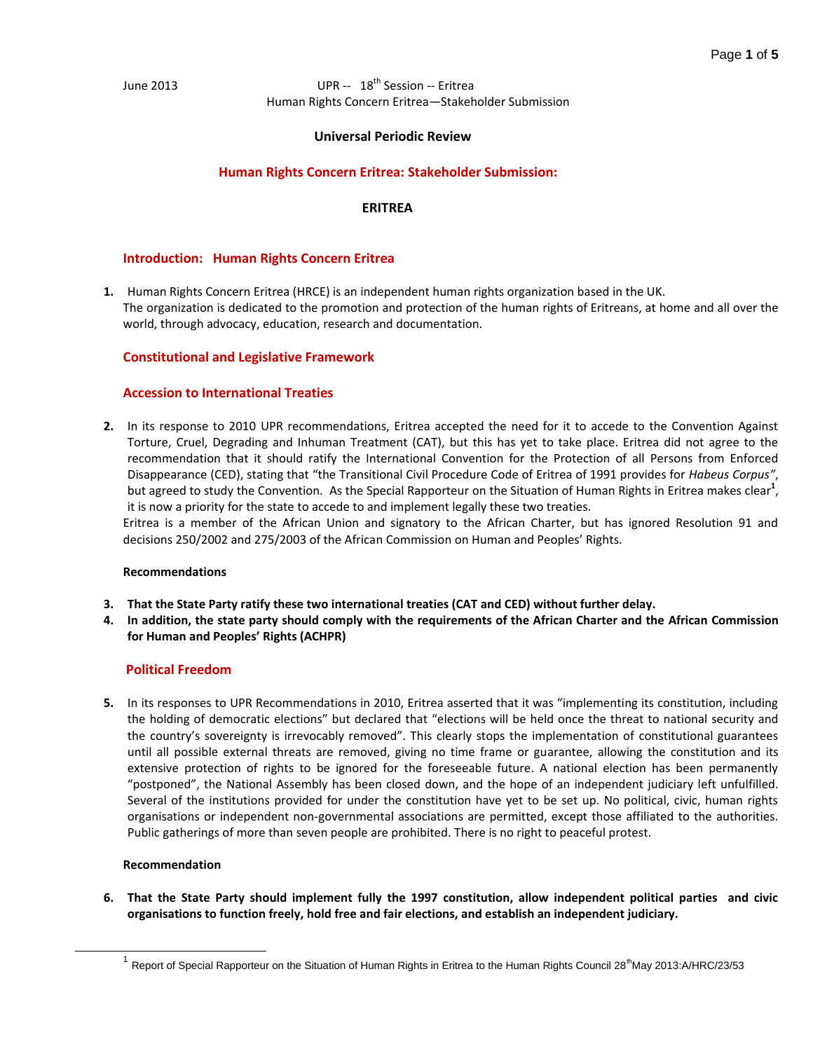## **Universal Periodic Review**

## **Human Rights Concern Eritrea: Stakeholder Submission:**

## **ERITREA**

## **Introduction: Human Rights Concern Eritrea**

**1.** Human Rights Concern Eritrea (HRCE) is an independent human rights organization based in the UK. The organization is dedicated to the promotion and protection of the human rights of Eritreans, at home and all over the world, through advocacy, education, research and documentation.

### **Constitutional and Legislative Framework**

### **Accession to International Treaties**

**2.** In its response to 2010 UPR recommendations, Eritrea accepted the need for it to accede to the Convention Against Torture, Cruel, Degrading and Inhuman Treatment (CAT), but this has yet to take place. Eritrea did not agree to the recommendation that it should ratify the International Convention for the Protection of all Persons from Enforced Disappearance (CED), stating that "the Transitional Civil Procedure Code of Eritrea of 1991 provides for *Habeus Corpus"*, but agreed to study the Convention. As the Special Rapporteur on the Situation of Human Rights in Eritrea makes clear<sup>1</sup>, it is now a priority for the state to accede to and implement legally these two treaties.

Eritrea is a member of the African Union and signatory to the African Charter, but has ignored Resolution 91 and decisions 250/2002 and 275/2003 of the African Commission on Human and Peoples' Rights.

### **Recommendations**

- **3. That the State Party ratify these two international treaties (CAT and CED) without further delay.**
- **4. In addition, the state party should comply with the requirements of the African Charter and the African Commission for Human and Peoples' Rights (ACHPR)**

### **Political Freedom**

**5.** In its responses to UPR Recommendations in 2010, Eritrea asserted that it was "implementing its constitution, including the holding of democratic elections" but declared that "elections will be held once the threat to national security and the country's sovereignty is irrevocably removed". This clearly stops the implementation of constitutional guarantees until all possible external threats are removed, giving no time frame or guarantee, allowing the constitution and its extensive protection of rights to be ignored for the foreseeable future. A national election has been permanently "postponed", the National Assembly has been closed down, and the hope of an independent judiciary left unfulfilled. Several of the institutions provided for under the constitution have yet to be set up. No political, civic, human rights organisations or independent non-governmental associations are permitted, except those affiliated to the authorities. Public gatherings of more than seven people are prohibited. There is no right to peaceful protest.

### **Recommendation**

l

**6. That the State Party should implement fully the 1997 constitution, allow independent political parties and civic organisations to function freely, hold free and fair elections, and establish an independent judiciary.** 

<sup>&</sup>lt;sup>1</sup> Report of Special Rapporteur on the Situation of Human Rights in Eritrea to the Human Rights Council 28<sup>th</sup>May 2013:A/HRC/23/53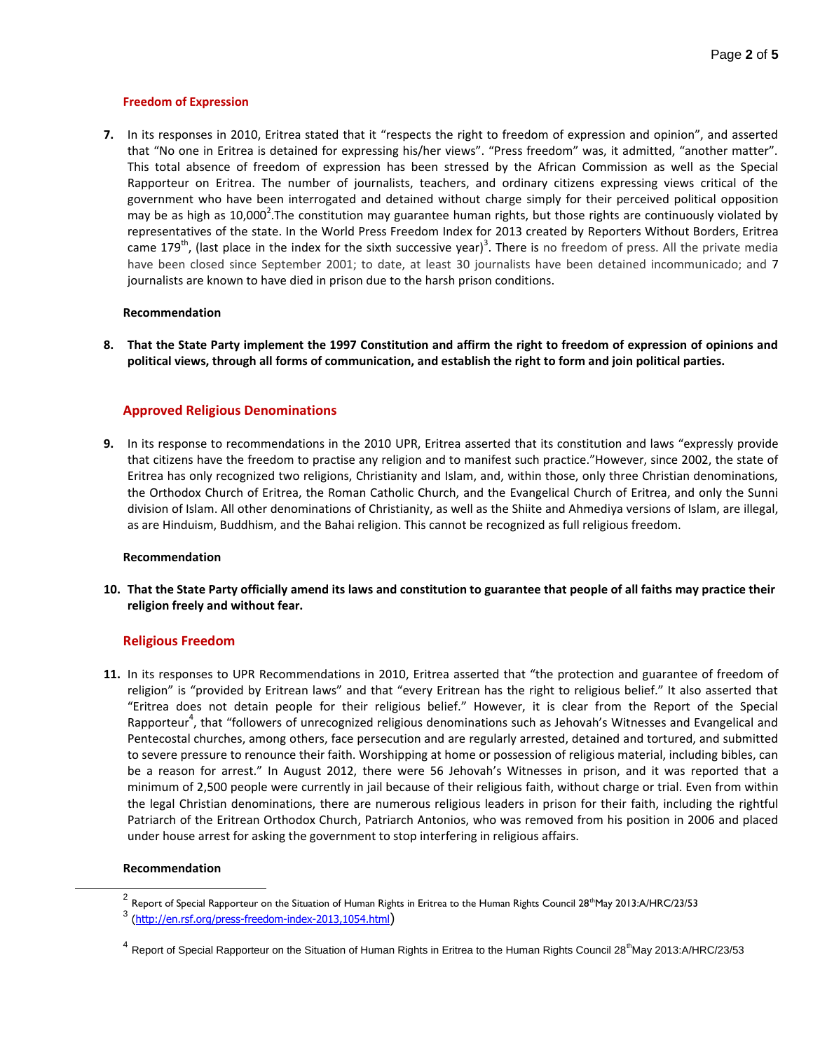## **Freedom of Expression**

**7.** In its responses in 2010, Eritrea stated that it "respects the right to freedom of expression and opinion", and asserted that "No one in Eritrea is detained for expressing his/her views". "Press freedom" was, it admitted, "another matter". This total absence of freedom of expression has been stressed by the African Commission as well as the Special Rapporteur on Eritrea. The number of journalists, teachers, and ordinary citizens expressing views critical of the government who have been interrogated and detained without charge simply for their perceived political opposition may be as high as 10,000<sup>2</sup>. The constitution may guarantee human rights, but those rights are continuously violated by representatives of the state. In the World Press Freedom Index for 2013 created by Reporters Without Borders, Eritrea came 179<sup>th</sup>, (last place in the index for the sixth successive year)<sup>3</sup>. There is no freedom of press. All the private media have been closed since September 2001; to date, at least 30 journalists have been detained incommunicado; and 7 journalists are known to have died in prison due to the harsh prison conditions.

### **Recommendation**

**8. That the State Party implement the 1997 Constitution and affirm the right to freedom of expression of opinions and political views, through all forms of communication, and establish the right to form and join political parties.**

## **Approved Religious Denominations**

**9.** In its response to recommendations in the 2010 UPR, Eritrea asserted that its constitution and laws "expressly provide that citizens have the freedom to practise any religion and to manifest such practice."However, since 2002, the state of Eritrea has only recognized two religions, Christianity and Islam, and, within those, only three Christian denominations, the Orthodox Church of Eritrea, the Roman Catholic Church, and the Evangelical Church of Eritrea, and only the Sunni division of Islam. All other denominations of Christianity, as well as the Shiite and Ahmediya versions of Islam, are illegal, as are Hinduism, Buddhism, and the Bahai religion. This cannot be recognized as full religious freedom.

### **Recommendation**

**10. That the State Party officially amend its laws and constitution to guarantee that people of all faiths may practice their religion freely and without fear.**

## **Religious Freedom**

**11.** In its responses to UPR Recommendations in 2010, Eritrea asserted that "the protection and guarantee of freedom of religion" is "provided by Eritrean laws" and that "every Eritrean has the right to religious belief." It also asserted that "Eritrea does not detain people for their religious belief." However, it is clear from the Report of the Special Rapporteur<sup>4</sup>, that "followers of unrecognized religious denominations such as Jehovah's Witnesses and Evangelical and Pentecostal churches, among others, face persecution and are regularly arrested, detained and tortured, and submitted to severe pressure to renounce their faith. Worshipping at home or possession of religious material, including bibles, can be a reason for arrest." In August 2012, there were 56 Jehovah's Witnesses in prison, and it was reported that a minimum of 2,500 people were currently in jail because of their religious faith, without charge or trial. Even from within the legal Christian denominations, there are numerous religious leaders in prison for their faith, including the rightful Patriarch of the Eritrean Orthodox Church, Patriarch Antonios, who was removed from his position in 2006 and placed under house arrest for asking the government to stop interfering in religious affairs.

### **Recommendation**

l

 $^2$  Report of Special Rapporteur on the Situation of Human Rights in Eritrea to the Human Rights Council 28thMay 2013:A/HRC/23/53

<sup>&</sup>lt;sup>3</sup> [\(http://en.rsf.org/press-freedom-index-2013,1054.html](http://en.rsf.org/press-freedom-index-2013,1054.html))

 $^4$  Report of Special Rapporteur on the Situation of Human Rights in Eritrea to the Human Rights Council 28<sup>th</sup>May 2013:A/HRC/23/53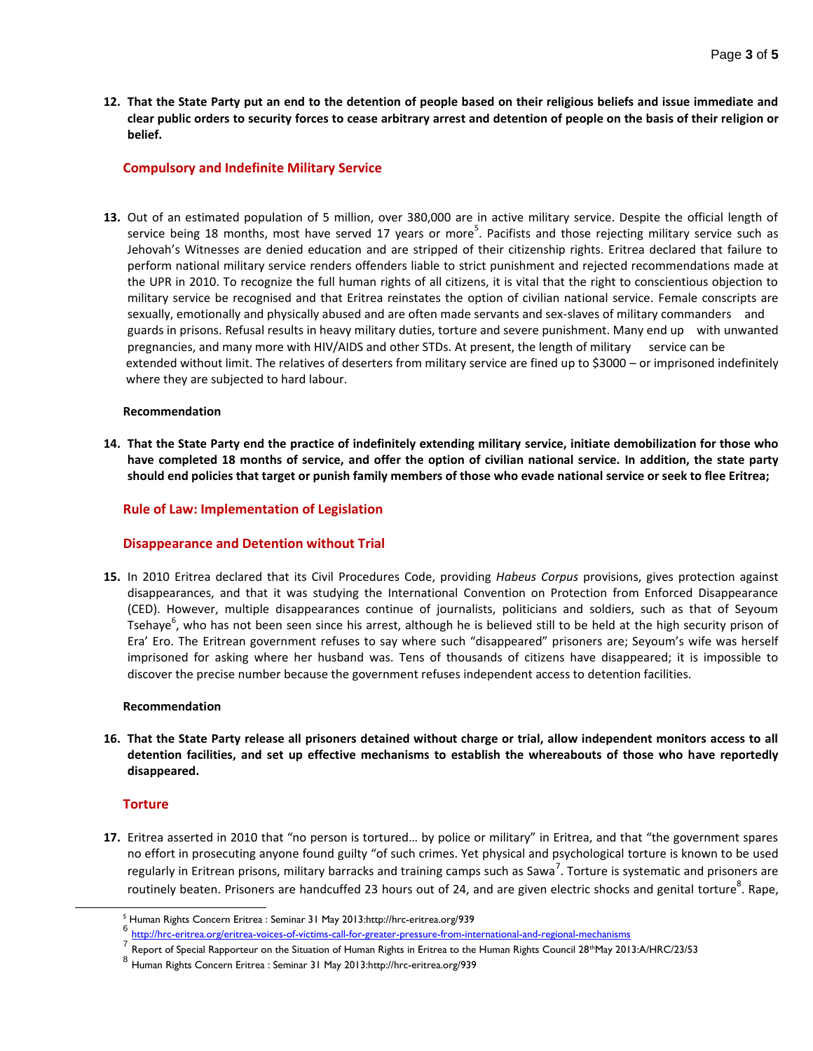**12. That the State Party put an end to the detention of people based on their religious beliefs and issue immediate and clear public orders to security forces to cease arbitrary arrest and detention of people on the basis of their religion or belief.**

# **Compulsory and Indefinite Military Service**

**13.** Out of an estimated population of 5 million, over 380,000 are in active military service. Despite the official length of service being 18 months, most have served 17 years or more<sup>5</sup>. Pacifists and those rejecting military service such as Jehovah's Witnesses are denied education and are stripped of their citizenship rights. Eritrea declared that failure to perform national military service renders offenders liable to strict punishment and rejected recommendations made at the UPR in 2010. To recognize the full human rights of all citizens, it is vital that the right to conscientious objection to military service be recognised and that Eritrea reinstates the option of civilian national service. Female conscripts are sexually, emotionally and physically abused and are often made servants and sex-slaves of military commanders and guards in prisons. Refusal results in heavy military duties, torture and severe punishment. Many end up with unwanted pregnancies, and many more with HIV/AIDS and other STDs. At present, the length of military service can be extended without limit. The relatives of deserters from military service are fined up to \$3000 – or imprisoned indefinitely where they are subjected to hard labour.

## **Recommendation**

**14. That the State Party end the practice of indefinitely extending military service, initiate demobilization for those who have completed 18 months of service, and offer the option of civilian national service. In addition, the state party should end policies that target or punish family members of those who evade national service or seek to flee Eritrea;**

## **Rule of Law: Implementation of Legislation**

## **Disappearance and Detention without Trial**

**15.** In 2010 Eritrea declared that its Civil Procedures Code, providing *Habeus Corpus* provisions, gives protection against disappearances, and that it was studying the International Convention on Protection from Enforced Disappearance (CED). However, multiple disappearances continue of journalists, politicians and soldiers, such as that of Seyoum Tsehaye<sup>6</sup>, who has not been seen since his arrest, although he is believed still to be held at the high security prison of Era' Ero. The Eritrean government refuses to say where such "disappeared" prisoners are; Seyoum's wife was herself imprisoned for asking where her husband was. Tens of thousands of citizens have disappeared; it is impossible to discover the precise number because the government refuses independent access to detention facilities.

## **Recommendation**

**16. That the State Party release all prisoners detained without charge or trial, allow independent monitors access to all detention facilities, and set up effective mechanisms to establish the whereabouts of those who have reportedly disappeared.**

## **Torture**

l

**17.** Eritrea asserted in 2010 that "no person is tortured… by police or military" in Eritrea, and that "the government spares no effort in prosecuting anyone found guilty "of such crimes. Yet physical and psychological torture is known to be used regularly in Eritrean prisons, military barracks and training camps such as Sawa<sup>7</sup>. Torture is systematic and prisoners are routinely beaten. Prisoners are handcuffed 23 hours out of 24, and are given electric shocks and genital torture<sup>8</sup>. Rape,

<sup>5</sup> Human Rights Concern Eritrea : Seminar 31 May 2013:http://hrc-eritrea.org/939

<sup>6&</sup>lt;br>T<http://hrc-eritrea.org/eritrea-voices-of-victims-call-for-greater-pressure-from-international-and-regional-mechanisms><br>7 p. 11.2011 - 2011 - 2011 - 2011 - 2012 - 2012 - 2013 - 2014 - 2014 - 2014 - 2014 - 2014 - 2014 - 20

Report of Special Rapporteur on the Situation of Human Rights in Eritrea to the Human Rights Council 28<sup>th</sup>May 2013:A/HRC/23/53

<sup>8</sup> Human Rights Concern Eritrea : Seminar 31 May 2013:http://hrc-eritrea.org/939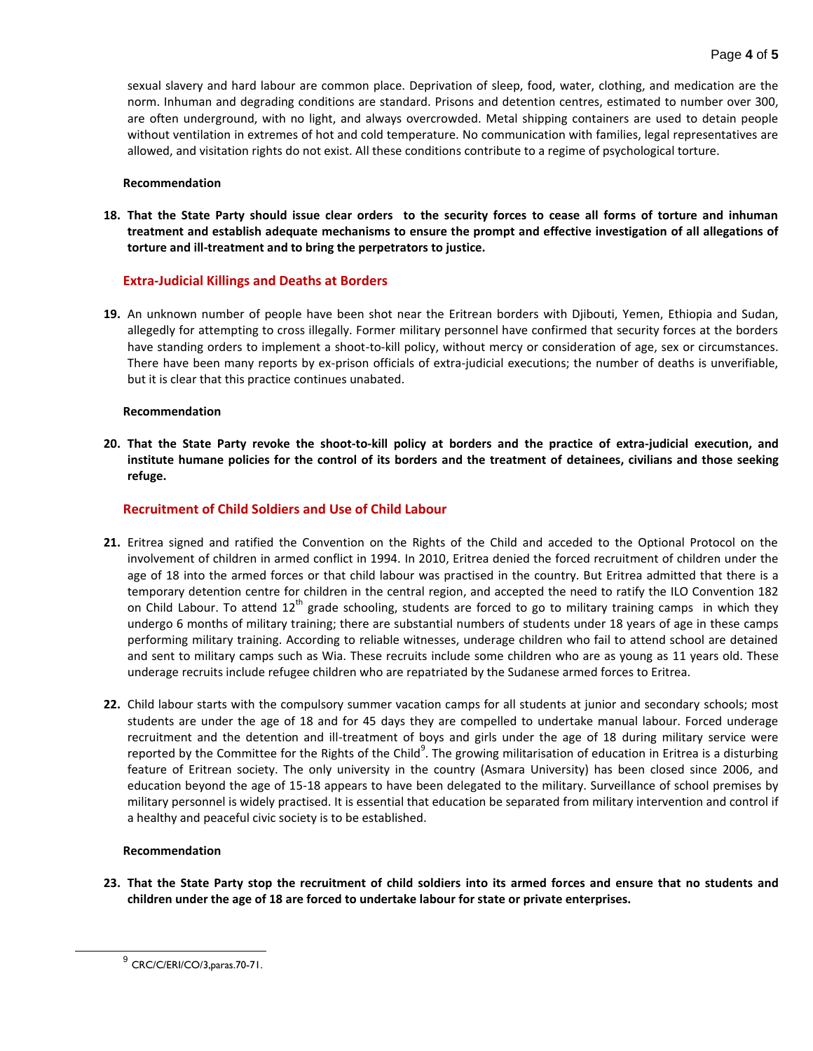sexual slavery and hard labour are common place. Deprivation of sleep, food, water, clothing, and medication are the norm. Inhuman and degrading conditions are standard. Prisons and detention centres, estimated to number over 300, are often underground, with no light, and always overcrowded. Metal shipping containers are used to detain people without ventilation in extremes of hot and cold temperature. No communication with families, legal representatives are allowed, and visitation rights do not exist. All these conditions contribute to a regime of psychological torture.

## **Recommendation**

**18. That the State Party should issue clear orders to the security forces to cease all forms of torture and inhuman treatment and establish adequate mechanisms to ensure the prompt and effective investigation of all allegations of torture and ill-treatment and to bring the perpetrators to justice.**

# **Extra-Judicial Killings and Deaths at Borders**

**19.** An unknown number of people have been shot near the Eritrean borders with Djibouti, Yemen, Ethiopia and Sudan, allegedly for attempting to cross illegally. Former military personnel have confirmed that security forces at the borders have standing orders to implement a shoot-to-kill policy, without mercy or consideration of age, sex or circumstances. There have been many reports by ex-prison officials of extra-judicial executions; the number of deaths is unverifiable, but it is clear that this practice continues unabated.

## **Recommendation**

**20. That the State Party revoke the shoot-to-kill policy at borders and the practice of extra-judicial execution, and institute humane policies for the control of its borders and the treatment of detainees, civilians and those seeking refuge.**

# **Recruitment of Child Soldiers and Use of Child Labour**

- **21.** Eritrea signed and ratified the Convention on the Rights of the Child and acceded to the Optional Protocol on the involvement of children in armed conflict in 1994. In 2010, Eritrea denied the forced recruitment of children under the age of 18 into the armed forces or that child labour was practised in the country. But Eritrea admitted that there is a temporary detention centre for children in the central region, and accepted the need to ratify the ILO Convention 182 on Child Labour. To attend 12<sup>th</sup> grade schooling, students are forced to go to military training camps in which they undergo 6 months of military training; there are substantial numbers of students under 18 years of age in these camps performing military training. According to reliable witnesses, underage children who fail to attend school are detained and sent to military camps such as Wia. These recruits include some children who are as young as 11 years old. These underage recruits include refugee children who are repatriated by the Sudanese armed forces to Eritrea.
- **22.** Child labour starts with the compulsory summer vacation camps for all students at junior and secondary schools; most students are under the age of 18 and for 45 days they are compelled to undertake manual labour. Forced underage recruitment and the detention and ill-treatment of boys and girls under the age of 18 during military service were reported by the Committee for the Rights of the Child<sup>9</sup>. The growing militarisation of education in Eritrea is a disturbing feature of Eritrean society. The only university in the country (Asmara University) has been closed since 2006, and education beyond the age of 15-18 appears to have been delegated to the military. Surveillance of school premises by military personnel is widely practised. It is essential that education be separated from military intervention and control if a healthy and peaceful civic society is to be established.

## **Recommendation**

l

**23. That the State Party stop the recruitment of child soldiers into its armed forces and ensure that no students and children under the age of 18 are forced to undertake labour for state or private enterprises.**

 $^{9}$  CRC/C/ERI/CO/3, paras. 70-71.